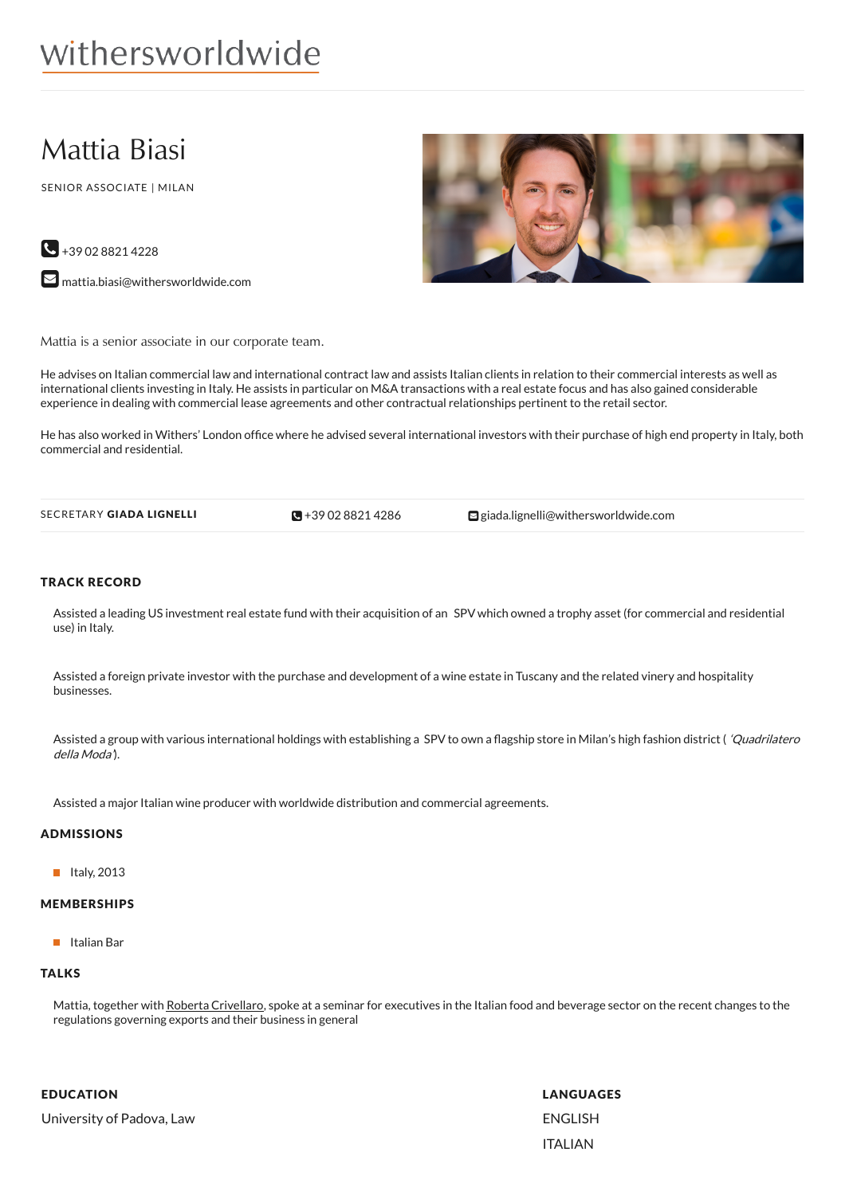# withersworldwide

# Mattia Biasi

SENIOR ASSOCIATE | MILAN

 $\bigcup$  +39 02 8821 4228 **M** [mattia.biasi@withersworldwide.com](mailto:mattia.biasi@withersworldwide.com?subject=Website Enquiry - Profile Page)



Mattia is a senior associate in our corporate team.

He advises on Italian commercial law and international contract law and assists Italian clients in relation to their commercial interests as well as international clients investing in Italy. He assists in particular on M&A transactions with a real estate focus and has also gained considerable experience in dealing with commercial lease agreements and other contractual relationships pertinent to the retail sector.

He has also worked in Withers' London office where he advised several international investors with their purchase of high end property in Italy, both commercial and residential.

 $\blacksquare$  +39 02 8821 4286

SECRETARY GIADA LIGNELLI **+39 02 8821 [4286](tel:+39 02 8821 4286)** [giada.lignelli@withersworldwide.com](mailto:giada.lignelli@withersworldwide.com)

#### TRACK RECORD

Assisted a leading US investment real estate fund with their acquisition of an SPV which owned a trophy asset (for commercial and residential use) in Italy.

Assisted a foreign private investor with the purchase and development of a wine estate in Tuscany and the related vinery and hospitality businesses.

Assisted a group with various international holdings with establishing a SPV to own a flagship store in Milan's high fashion district ( 'Quadrilatero della Moda').

Assisted a major Italian wine producer with worldwide distribution and commercial agreements.

## ADMISSIONS

 $\blacksquare$  Italy, 2013

#### MEMBERSHIPS

II Italian Bar

## **TALKS**

Mattia, together with Roberta [Crivellaro](http://www.withersworldwide.com/people/roberta-crivellaro), spoke at a seminar for executives in the Italian food and beverage sector on the recent changes to the regulations governing exports and their business in general

EDUCATION University of Padova, Law LANGUAGES ENGLISH ITALIAN